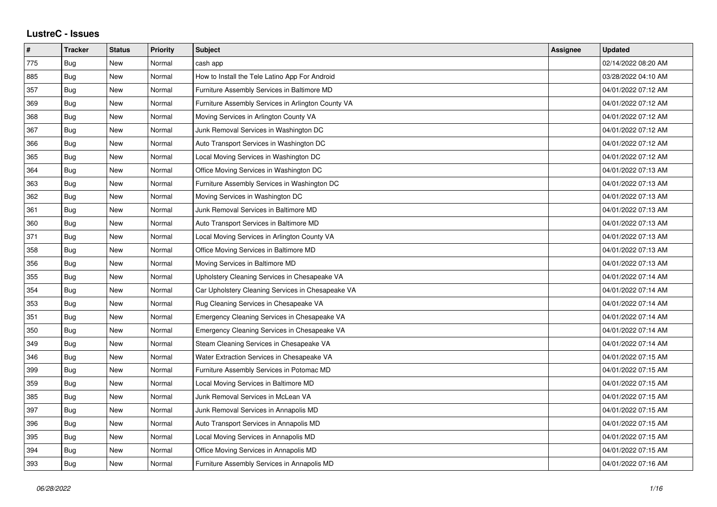## **LustreC - Issues**

| $\pmb{\#}$ | <b>Tracker</b> | <b>Status</b> | <b>Priority</b> | <b>Subject</b>                                     | <b>Assignee</b> | <b>Updated</b>      |
|------------|----------------|---------------|-----------------|----------------------------------------------------|-----------------|---------------------|
| 775        | <b>Bug</b>     | <b>New</b>    | Normal          | cash app                                           |                 | 02/14/2022 08:20 AM |
| 885        | Bug            | New           | Normal          | How to Install the Tele Latino App For Android     |                 | 03/28/2022 04:10 AM |
| 357        | Bug            | New           | Normal          | Furniture Assembly Services in Baltimore MD        |                 | 04/01/2022 07:12 AM |
| 369        | Bug            | <b>New</b>    | Normal          | Furniture Assembly Services in Arlington County VA |                 | 04/01/2022 07:12 AM |
| 368        | Bug            | <b>New</b>    | Normal          | Moving Services in Arlington County VA             |                 | 04/01/2022 07:12 AM |
| 367        | Bug            | <b>New</b>    | Normal          | Junk Removal Services in Washington DC             |                 | 04/01/2022 07:12 AM |
| 366        | Bug            | <b>New</b>    | Normal          | Auto Transport Services in Washington DC           |                 | 04/01/2022 07:12 AM |
| 365        | Bug            | New           | Normal          | Local Moving Services in Washington DC             |                 | 04/01/2022 07:12 AM |
| 364        | Bug            | <b>New</b>    | Normal          | Office Moving Services in Washington DC            |                 | 04/01/2022 07:13 AM |
| 363        | Bug            | New           | Normal          | Furniture Assembly Services in Washington DC       |                 | 04/01/2022 07:13 AM |
| 362        | Bug            | New           | Normal          | Moving Services in Washington DC                   |                 | 04/01/2022 07:13 AM |
| 361        | Bug            | New           | Normal          | Junk Removal Services in Baltimore MD              |                 | 04/01/2022 07:13 AM |
| 360        | Bug            | New           | Normal          | Auto Transport Services in Baltimore MD            |                 | 04/01/2022 07:13 AM |
| 371        | Bug            | New           | Normal          | Local Moving Services in Arlington County VA       |                 | 04/01/2022 07:13 AM |
| 358        | Bug            | New           | Normal          | Office Moving Services in Baltimore MD             |                 | 04/01/2022 07:13 AM |
| 356        | Bug            | New           | Normal          | Moving Services in Baltimore MD                    |                 | 04/01/2022 07:13 AM |
| 355        | Bug            | New           | Normal          | Upholstery Cleaning Services in Chesapeake VA      |                 | 04/01/2022 07:14 AM |
| 354        | Bug            | New           | Normal          | Car Upholstery Cleaning Services in Chesapeake VA  |                 | 04/01/2022 07:14 AM |
| 353        | Bug            | New           | Normal          | Rug Cleaning Services in Chesapeake VA             |                 | 04/01/2022 07:14 AM |
| 351        | Bug            | New           | Normal          | Emergency Cleaning Services in Chesapeake VA       |                 | 04/01/2022 07:14 AM |
| 350        | Bug            | <b>New</b>    | Normal          | Emergency Cleaning Services in Chesapeake VA       |                 | 04/01/2022 07:14 AM |
| 349        | Bug            | New           | Normal          | Steam Cleaning Services in Chesapeake VA           |                 | 04/01/2022 07:14 AM |
| 346        | Bug            | New           | Normal          | Water Extraction Services in Chesapeake VA         |                 | 04/01/2022 07:15 AM |
| 399        | Bug            | <b>New</b>    | Normal          | Furniture Assembly Services in Potomac MD          |                 | 04/01/2022 07:15 AM |
| 359        | Bug            | New           | Normal          | Local Moving Services in Baltimore MD              |                 | 04/01/2022 07:15 AM |
| 385        | Bug            | New           | Normal          | Junk Removal Services in McLean VA                 |                 | 04/01/2022 07:15 AM |
| 397        | Bug            | <b>New</b>    | Normal          | Junk Removal Services in Annapolis MD              |                 | 04/01/2022 07:15 AM |
| 396        | Bug            | New           | Normal          | Auto Transport Services in Annapolis MD            |                 | 04/01/2022 07:15 AM |
| 395        | <b>Bug</b>     | New           | Normal          | Local Moving Services in Annapolis MD              |                 | 04/01/2022 07:15 AM |
| 394        | Bug            | New           | Normal          | Office Moving Services in Annapolis MD             |                 | 04/01/2022 07:15 AM |
| 393        | <b>Bug</b>     | <b>New</b>    | Normal          | Furniture Assembly Services in Annapolis MD        |                 | 04/01/2022 07:16 AM |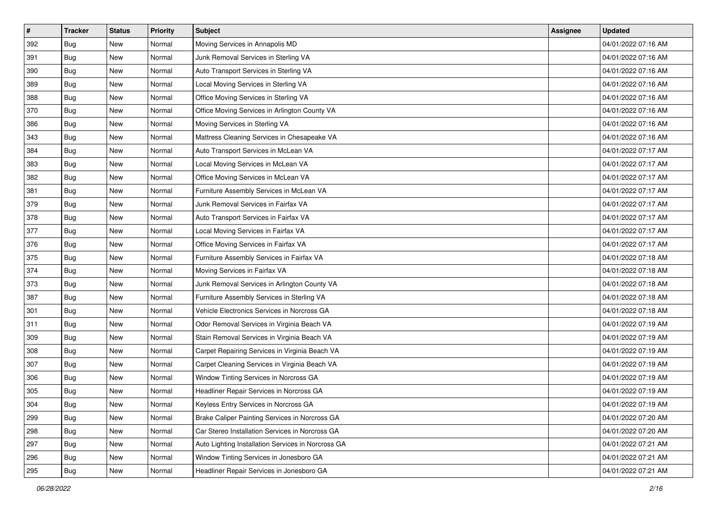| $\pmb{\#}$ | <b>Tracker</b> | <b>Status</b> | <b>Priority</b> | Subject                                            | Assignee | <b>Updated</b>      |
|------------|----------------|---------------|-----------------|----------------------------------------------------|----------|---------------------|
| 392        | <b>Bug</b>     | New           | Normal          | Moving Services in Annapolis MD                    |          | 04/01/2022 07:16 AM |
| 391        | <b>Bug</b>     | New           | Normal          | Junk Removal Services in Sterling VA               |          | 04/01/2022 07:16 AM |
| 390        | Bug            | New           | Normal          | Auto Transport Services in Sterling VA             |          | 04/01/2022 07:16 AM |
| 389        | <b>Bug</b>     | New           | Normal          | Local Moving Services in Sterling VA               |          | 04/01/2022 07:16 AM |
| 388        | Bug            | <b>New</b>    | Normal          | Office Moving Services in Sterling VA              |          | 04/01/2022 07:16 AM |
| 370        | <b>Bug</b>     | New           | Normal          | Office Moving Services in Arlington County VA      |          | 04/01/2022 07:16 AM |
| 386        | Bug            | New           | Normal          | Moving Services in Sterling VA                     |          | 04/01/2022 07:16 AM |
| 343        | <b>Bug</b>     | New           | Normal          | Mattress Cleaning Services in Chesapeake VA        |          | 04/01/2022 07:16 AM |
| 384        | <b>Bug</b>     | New           | Normal          | Auto Transport Services in McLean VA               |          | 04/01/2022 07:17 AM |
| 383        | Bug            | New           | Normal          | Local Moving Services in McLean VA                 |          | 04/01/2022 07:17 AM |
| 382        | <b>Bug</b>     | New           | Normal          | Office Moving Services in McLean VA                |          | 04/01/2022 07:17 AM |
| 381        | <b>Bug</b>     | New           | Normal          | Furniture Assembly Services in McLean VA           |          | 04/01/2022 07:17 AM |
| 379        | <b>Bug</b>     | New           | Normal          | Junk Removal Services in Fairfax VA                |          | 04/01/2022 07:17 AM |
| 378        | <b>Bug</b>     | New           | Normal          | Auto Transport Services in Fairfax VA              |          | 04/01/2022 07:17 AM |
| 377        | <b>Bug</b>     | New           | Normal          | Local Moving Services in Fairfax VA                |          | 04/01/2022 07:17 AM |
| 376        | Bug            | New           | Normal          | Office Moving Services in Fairfax VA               |          | 04/01/2022 07:17 AM |
| 375        | <b>Bug</b>     | New           | Normal          | Furniture Assembly Services in Fairfax VA          |          | 04/01/2022 07:18 AM |
| 374        | Bug            | New           | Normal          | Moving Services in Fairfax VA                      |          | 04/01/2022 07:18 AM |
| 373        | <b>Bug</b>     | New           | Normal          | Junk Removal Services in Arlington County VA       |          | 04/01/2022 07:18 AM |
| 387        | <b>Bug</b>     | New           | Normal          | Furniture Assembly Services in Sterling VA         |          | 04/01/2022 07:18 AM |
| 301        | <b>Bug</b>     | New           | Normal          | Vehicle Electronics Services in Norcross GA        |          | 04/01/2022 07:18 AM |
| 311        | <b>Bug</b>     | New           | Normal          | Odor Removal Services in Virginia Beach VA         |          | 04/01/2022 07:19 AM |
| 309        | Bug            | <b>New</b>    | Normal          | Stain Removal Services in Virginia Beach VA        |          | 04/01/2022 07:19 AM |
| 308        | <b>Bug</b>     | New           | Normal          | Carpet Repairing Services in Virginia Beach VA     |          | 04/01/2022 07:19 AM |
| 307        | <b>Bug</b>     | New           | Normal          | Carpet Cleaning Services in Virginia Beach VA      |          | 04/01/2022 07:19 AM |
| 306        | <b>Bug</b>     | New           | Normal          | Window Tinting Services in Norcross GA             |          | 04/01/2022 07:19 AM |
| 305        | Bug            | New           | Normal          | Headliner Repair Services in Norcross GA           |          | 04/01/2022 07:19 AM |
| 304        | I Bug          | New           | Normal          | Keyless Entry Services in Norcross GA              |          | 04/01/2022 07:19 AM |
| 299        | <b>Bug</b>     | New           | Normal          | Brake Caliper Painting Services in Norcross GA     |          | 04/01/2022 07:20 AM |
| 298        | Bug            | New           | Normal          | Car Stereo Installation Services in Norcross GA    |          | 04/01/2022 07:20 AM |
| 297        | <b>Bug</b>     | New           | Normal          | Auto Lighting Installation Services in Norcross GA |          | 04/01/2022 07:21 AM |
| 296        | Bug            | New           | Normal          | Window Tinting Services in Jonesboro GA            |          | 04/01/2022 07:21 AM |
| 295        | <b>Bug</b>     | New           | Normal          | Headliner Repair Services in Jonesboro GA          |          | 04/01/2022 07:21 AM |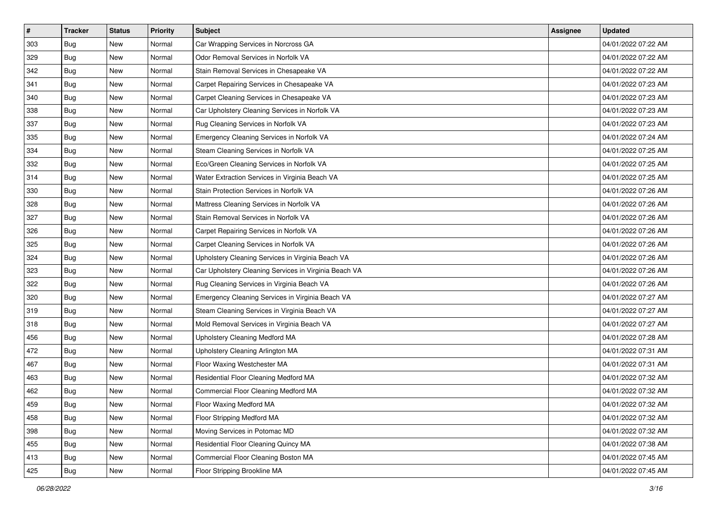| $\sharp$ | <b>Tracker</b> | <b>Status</b> | <b>Priority</b> | <b>Subject</b>                                        | Assignee | <b>Updated</b>      |
|----------|----------------|---------------|-----------------|-------------------------------------------------------|----------|---------------------|
| 303      | <b>Bug</b>     | New           | Normal          | Car Wrapping Services in Norcross GA                  |          | 04/01/2022 07:22 AM |
| 329      | Bug            | New           | Normal          | Odor Removal Services in Norfolk VA                   |          | 04/01/2022 07:22 AM |
| 342      | Bug            | New           | Normal          | Stain Removal Services in Chesapeake VA               |          | 04/01/2022 07:22 AM |
| 341      | <b>Bug</b>     | New           | Normal          | Carpet Repairing Services in Chesapeake VA            |          | 04/01/2022 07:23 AM |
| 340      | <b>Bug</b>     | New           | Normal          | Carpet Cleaning Services in Chesapeake VA             |          | 04/01/2022 07:23 AM |
| 338      | <b>Bug</b>     | New           | Normal          | Car Upholstery Cleaning Services in Norfolk VA        |          | 04/01/2022 07:23 AM |
| 337      | <b>Bug</b>     | New           | Normal          | Rug Cleaning Services in Norfolk VA                   |          | 04/01/2022 07:23 AM |
| 335      | <b>Bug</b>     | New           | Normal          | Emergency Cleaning Services in Norfolk VA             |          | 04/01/2022 07:24 AM |
| 334      | Bug            | New           | Normal          | Steam Cleaning Services in Norfolk VA                 |          | 04/01/2022 07:25 AM |
| 332      | <b>Bug</b>     | New           | Normal          | Eco/Green Cleaning Services in Norfolk VA             |          | 04/01/2022 07:25 AM |
| 314      | Bug            | New           | Normal          | Water Extraction Services in Virginia Beach VA        |          | 04/01/2022 07:25 AM |
| 330      | <b>Bug</b>     | New           | Normal          | Stain Protection Services in Norfolk VA               |          | 04/01/2022 07:26 AM |
| 328      | Bug            | <b>New</b>    | Normal          | Mattress Cleaning Services in Norfolk VA              |          | 04/01/2022 07:26 AM |
| 327      | <b>Bug</b>     | New           | Normal          | Stain Removal Services in Norfolk VA                  |          | 04/01/2022 07:26 AM |
| 326      | <b>Bug</b>     | New           | Normal          | Carpet Repairing Services in Norfolk VA               |          | 04/01/2022 07:26 AM |
| 325      | Bug            | New           | Normal          | Carpet Cleaning Services in Norfolk VA                |          | 04/01/2022 07:26 AM |
| 324      | <b>Bug</b>     | New           | Normal          | Upholstery Cleaning Services in Virginia Beach VA     |          | 04/01/2022 07:26 AM |
| 323      | Bug            | <b>New</b>    | Normal          | Car Upholstery Cleaning Services in Virginia Beach VA |          | 04/01/2022 07:26 AM |
| 322      | <b>Bug</b>     | New           | Normal          | Rug Cleaning Services in Virginia Beach VA            |          | 04/01/2022 07:26 AM |
| 320      | Bug            | New           | Normal          | Emergency Cleaning Services in Virginia Beach VA      |          | 04/01/2022 07:27 AM |
| 319      | Bug            | <b>New</b>    | Normal          | Steam Cleaning Services in Virginia Beach VA          |          | 04/01/2022 07:27 AM |
| 318      | Bug            | New           | Normal          | Mold Removal Services in Virginia Beach VA            |          | 04/01/2022 07:27 AM |
| 456      | Bug            | New           | Normal          | Upholstery Cleaning Medford MA                        |          | 04/01/2022 07:28 AM |
| 472      | <b>Bug</b>     | New           | Normal          | Upholstery Cleaning Arlington MA                      |          | 04/01/2022 07:31 AM |
| 467      | Bug            | New           | Normal          | Floor Waxing Westchester MA                           |          | 04/01/2022 07:31 AM |
| 463      | <b>Bug</b>     | <b>New</b>    | Normal          | Residential Floor Cleaning Medford MA                 |          | 04/01/2022 07:32 AM |
| 462      | <b>Bug</b>     | New           | Normal          | Commercial Floor Cleaning Medford MA                  |          | 04/01/2022 07:32 AM |
| 459      | <b>Bug</b>     | New           | Normal          | Floor Waxing Medford MA                               |          | 04/01/2022 07:32 AM |
| 458      | Bug            | New           | Normal          | Floor Stripping Medford MA                            |          | 04/01/2022 07:32 AM |
| 398      | <b>Bug</b>     | New           | Normal          | Moving Services in Potomac MD                         |          | 04/01/2022 07:32 AM |
| 455      | Bug            | New           | Normal          | Residential Floor Cleaning Quincy MA                  |          | 04/01/2022 07:38 AM |
| 413      | <b>Bug</b>     | New           | Normal          | Commercial Floor Cleaning Boston MA                   |          | 04/01/2022 07:45 AM |
| 425      | <b>Bug</b>     | New           | Normal          | Floor Stripping Brookline MA                          |          | 04/01/2022 07:45 AM |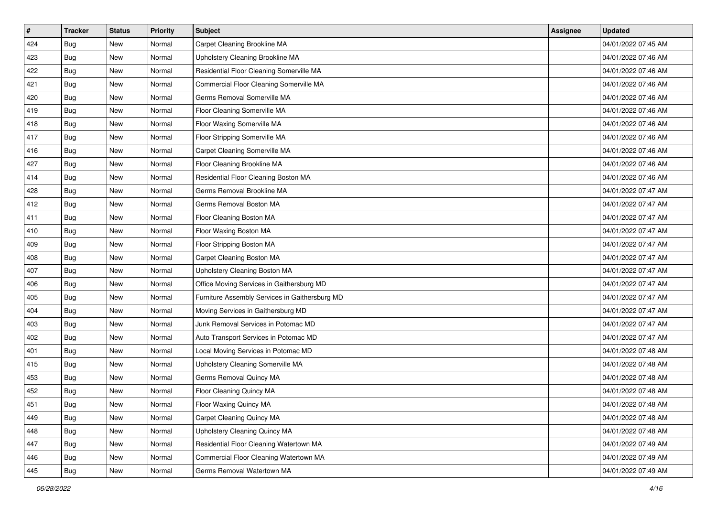| $\sharp$ | <b>Tracker</b> | <b>Status</b> | <b>Priority</b> | <b>Subject</b>                                 | <b>Assignee</b> | <b>Updated</b>      |
|----------|----------------|---------------|-----------------|------------------------------------------------|-----------------|---------------------|
| 424      | Bug            | New           | Normal          | Carpet Cleaning Brookline MA                   |                 | 04/01/2022 07:45 AM |
| 423      | <b>Bug</b>     | <b>New</b>    | Normal          | Upholstery Cleaning Brookline MA               |                 | 04/01/2022 07:46 AM |
| 422      | Bug            | New           | Normal          | Residential Floor Cleaning Somerville MA       |                 | 04/01/2022 07:46 AM |
| 421      | <b>Bug</b>     | <b>New</b>    | Normal          | Commercial Floor Cleaning Somerville MA        |                 | 04/01/2022 07:46 AM |
| 420      | Bug            | <b>New</b>    | Normal          | Germs Removal Somerville MA                    |                 | 04/01/2022 07:46 AM |
| 419      | <b>Bug</b>     | New           | Normal          | Floor Cleaning Somerville MA                   |                 | 04/01/2022 07:46 AM |
| 418      | Bug            | New           | Normal          | Floor Waxing Somerville MA                     |                 | 04/01/2022 07:46 AM |
| 417      | Bug            | New           | Normal          | Floor Stripping Somerville MA                  |                 | 04/01/2022 07:46 AM |
| 416      | <b>Bug</b>     | New           | Normal          | Carpet Cleaning Somerville MA                  |                 | 04/01/2022 07:46 AM |
| 427      | Bug            | <b>New</b>    | Normal          | Floor Cleaning Brookline MA                    |                 | 04/01/2022 07:46 AM |
| 414      | <b>Bug</b>     | New           | Normal          | Residential Floor Cleaning Boston MA           |                 | 04/01/2022 07:46 AM |
| 428      | Bug            | New           | Normal          | Germs Removal Brookline MA                     |                 | 04/01/2022 07:47 AM |
| 412      | <b>Bug</b>     | New           | Normal          | Germs Removal Boston MA                        |                 | 04/01/2022 07:47 AM |
| 411      | <b>Bug</b>     | New           | Normal          | Floor Cleaning Boston MA                       |                 | 04/01/2022 07:47 AM |
| 410      | Bug            | <b>New</b>    | Normal          | Floor Waxing Boston MA                         |                 | 04/01/2022 07:47 AM |
| 409      | Bug            | New           | Normal          | Floor Stripping Boston MA                      |                 | 04/01/2022 07:47 AM |
| 408      | <b>Bug</b>     | New           | Normal          | Carpet Cleaning Boston MA                      |                 | 04/01/2022 07:47 AM |
| 407      | Bug            | New           | Normal          | Upholstery Cleaning Boston MA                  |                 | 04/01/2022 07:47 AM |
| 406      | <b>Bug</b>     | New           | Normal          | Office Moving Services in Gaithersburg MD      |                 | 04/01/2022 07:47 AM |
| 405      | Bug            | New           | Normal          | Furniture Assembly Services in Gaithersburg MD |                 | 04/01/2022 07:47 AM |
| 404      | <b>Bug</b>     | New           | Normal          | Moving Services in Gaithersburg MD             |                 | 04/01/2022 07:47 AM |
| 403      | <b>Bug</b>     | <b>New</b>    | Normal          | Junk Removal Services in Potomac MD            |                 | 04/01/2022 07:47 AM |
| 402      | Bug            | <b>New</b>    | Normal          | Auto Transport Services in Potomac MD          |                 | 04/01/2022 07:47 AM |
| 401      | Bug            | New           | Normal          | Local Moving Services in Potomac MD            |                 | 04/01/2022 07:48 AM |
| 415      | Bug            | New           | Normal          | Upholstery Cleaning Somerville MA              |                 | 04/01/2022 07:48 AM |
| 453      | <b>Bug</b>     | New           | Normal          | Germs Removal Quincy MA                        |                 | 04/01/2022 07:48 AM |
| 452      | <b>Bug</b>     | New           | Normal          | Floor Cleaning Quincy MA                       |                 | 04/01/2022 07:48 AM |
| 451      | <b>Bug</b>     | New           | Normal          | Floor Waxing Quincy MA                         |                 | 04/01/2022 07:48 AM |
| 449      | Bug            | New           | Normal          | Carpet Cleaning Quincy MA                      |                 | 04/01/2022 07:48 AM |
| 448      | <b>Bug</b>     | New           | Normal          | Upholstery Cleaning Quincy MA                  |                 | 04/01/2022 07:48 AM |
| 447      | <b>Bug</b>     | New           | Normal          | Residential Floor Cleaning Watertown MA        |                 | 04/01/2022 07:49 AM |
| 446      | <b>Bug</b>     | New           | Normal          | Commercial Floor Cleaning Watertown MA         |                 | 04/01/2022 07:49 AM |
| 445      | Bug            | New           | Normal          | Germs Removal Watertown MA                     |                 | 04/01/2022 07:49 AM |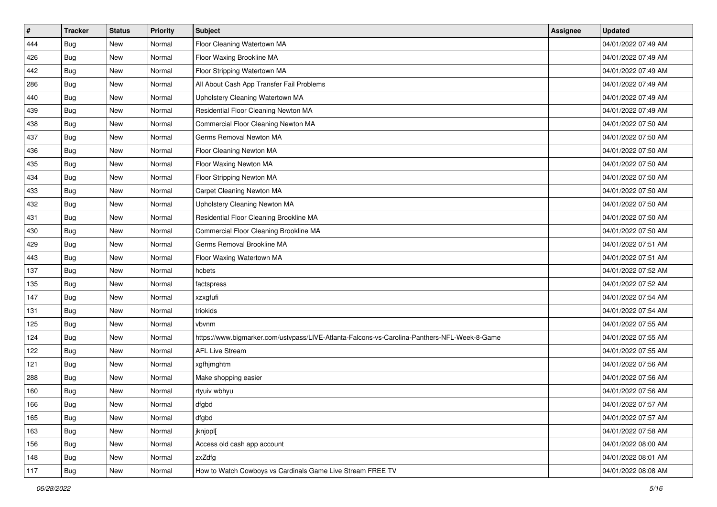| $\sharp$ | <b>Tracker</b> | <b>Status</b> | <b>Priority</b> | <b>Subject</b>                                                                               | Assignee | <b>Updated</b>      |
|----------|----------------|---------------|-----------------|----------------------------------------------------------------------------------------------|----------|---------------------|
| 444      | Bug            | New           | Normal          | Floor Cleaning Watertown MA                                                                  |          | 04/01/2022 07:49 AM |
| 426      | Bug            | <b>New</b>    | Normal          | Floor Waxing Brookline MA                                                                    |          | 04/01/2022 07:49 AM |
| 442      | Bug            | New           | Normal          | Floor Stripping Watertown MA                                                                 |          | 04/01/2022 07:49 AM |
| 286      | <b>Bug</b>     | <b>New</b>    | Normal          | All About Cash App Transfer Fail Problems                                                    |          | 04/01/2022 07:49 AM |
| 440      | Bug            | <b>New</b>    | Normal          | Upholstery Cleaning Watertown MA                                                             |          | 04/01/2022 07:49 AM |
| 439      | <b>Bug</b>     | New           | Normal          | Residential Floor Cleaning Newton MA                                                         |          | 04/01/2022 07:49 AM |
| 438      | Bug            | <b>New</b>    | Normal          | Commercial Floor Cleaning Newton MA                                                          |          | 04/01/2022 07:50 AM |
| 437      | Bug            | New           | Normal          | Germs Removal Newton MA                                                                      |          | 04/01/2022 07:50 AM |
| 436      | <b>Bug</b>     | <b>New</b>    | Normal          | Floor Cleaning Newton MA                                                                     |          | 04/01/2022 07:50 AM |
| 435      | Bug            | <b>New</b>    | Normal          | Floor Waxing Newton MA                                                                       |          | 04/01/2022 07:50 AM |
| 434      | Bug            | New           | Normal          | Floor Stripping Newton MA                                                                    |          | 04/01/2022 07:50 AM |
| 433      | Bug            | New           | Normal          | Carpet Cleaning Newton MA                                                                    |          | 04/01/2022 07:50 AM |
| 432      | Bug            | New           | Normal          | Upholstery Cleaning Newton MA                                                                |          | 04/01/2022 07:50 AM |
| 431      | Bug            | New           | Normal          | Residential Floor Cleaning Brookline MA                                                      |          | 04/01/2022 07:50 AM |
| 430      | Bug            | <b>New</b>    | Normal          | Commercial Floor Cleaning Brookline MA                                                       |          | 04/01/2022 07:50 AM |
| 429      | Bug            | New           | Normal          | Germs Removal Brookline MA                                                                   |          | 04/01/2022 07:51 AM |
| 443      | <b>Bug</b>     | <b>New</b>    | Normal          | Floor Waxing Watertown MA                                                                    |          | 04/01/2022 07:51 AM |
| 137      | Bug            | New           | Normal          | hcbets                                                                                       |          | 04/01/2022 07:52 AM |
| 135      | Bug            | New           | Normal          | factspress                                                                                   |          | 04/01/2022 07:52 AM |
| 147      | Bug            | <b>New</b>    | Normal          | xzxgfufi                                                                                     |          | 04/01/2022 07:54 AM |
| 131      | Bug            | New           | Normal          | triokids                                                                                     |          | 04/01/2022 07:54 AM |
| 125      | <b>Bug</b>     | <b>New</b>    | Normal          | vbvnm                                                                                        |          | 04/01/2022 07:55 AM |
| 124      | Bug            | <b>New</b>    | Normal          | https://www.bigmarker.com/ustvpass/LIVE-Atlanta-Falcons-vs-Carolina-Panthers-NFL-Week-8-Game |          | 04/01/2022 07:55 AM |
| 122      | Bug            | New           | Normal          | <b>AFL Live Stream</b>                                                                       |          | 04/01/2022 07:55 AM |
| 121      | <b>Bug</b>     | New           | Normal          | xgfhjmghtm                                                                                   |          | 04/01/2022 07:56 AM |
| 288      | <b>Bug</b>     | New           | Normal          | Make shopping easier                                                                         |          | 04/01/2022 07:56 AM |
| 160      | Bug            | New           | Normal          | rtyuiv wbhyu                                                                                 |          | 04/01/2022 07:56 AM |
| 166      | <b>Bug</b>     | New           | Normal          | dfgbd                                                                                        |          | 04/01/2022 07:57 AM |
| 165      | Bug            | New           | Normal          | dfgbd                                                                                        |          | 04/01/2022 07:57 AM |
| 163      | <b>Bug</b>     | New           | Normal          | jknjopl[                                                                                     |          | 04/01/2022 07:58 AM |
| 156      | Bug            | New           | Normal          | Access old cash app account                                                                  |          | 04/01/2022 08:00 AM |
| 148      | <b>Bug</b>     | New           | Normal          | zxZdfg                                                                                       |          | 04/01/2022 08:01 AM |
| 117      | <b>Bug</b>     | New           | Normal          | How to Watch Cowboys vs Cardinals Game Live Stream FREE TV                                   |          | 04/01/2022 08:08 AM |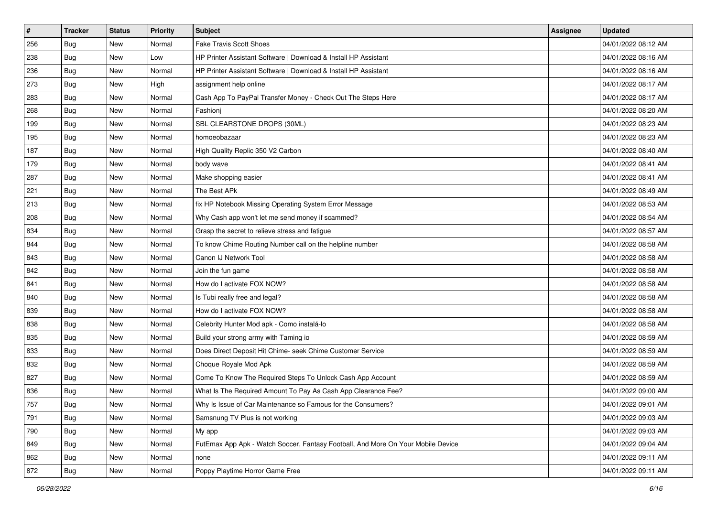| #   | <b>Tracker</b> | <b>Status</b> | <b>Priority</b> | Subject                                                                          | <b>Assignee</b> | <b>Updated</b>      |
|-----|----------------|---------------|-----------------|----------------------------------------------------------------------------------|-----------------|---------------------|
| 256 | <b>Bug</b>     | New           | Normal          | <b>Fake Travis Scott Shoes</b>                                                   |                 | 04/01/2022 08:12 AM |
| 238 | Bug            | New           | Low             | HP Printer Assistant Software   Download & Install HP Assistant                  |                 | 04/01/2022 08:16 AM |
| 236 | Bug            | New           | Normal          | HP Printer Assistant Software   Download & Install HP Assistant                  |                 | 04/01/2022 08:16 AM |
| 273 | <b>Bug</b>     | New           | High            | assignment help online                                                           |                 | 04/01/2022 08:17 AM |
| 283 | Bug            | New           | Normal          | Cash App To PayPal Transfer Money - Check Out The Steps Here                     |                 | 04/01/2022 08:17 AM |
| 268 | <b>Bug</b>     | New           | Normal          | Fashioni                                                                         |                 | 04/01/2022 08:20 AM |
| 199 | <b>Bug</b>     | New           | Normal          | SBL CLEARSTONE DROPS (30ML)                                                      |                 | 04/01/2022 08:23 AM |
| 195 | <b>Bug</b>     | New           | Normal          | homoeobazaar                                                                     |                 | 04/01/2022 08:23 AM |
| 187 | Bug            | New           | Normal          | High Quality Replic 350 V2 Carbon                                                |                 | 04/01/2022 08:40 AM |
| 179 | Bug            | New           | Normal          | body wave                                                                        |                 | 04/01/2022 08:41 AM |
| 287 | Bug            | New           | Normal          | Make shopping easier                                                             |                 | 04/01/2022 08:41 AM |
| 221 | <b>Bug</b>     | New           | Normal          | The Best APk                                                                     |                 | 04/01/2022 08:49 AM |
| 213 | Bug            | New           | Normal          | fix HP Notebook Missing Operating System Error Message                           |                 | 04/01/2022 08:53 AM |
| 208 | <b>Bug</b>     | New           | Normal          | Why Cash app won't let me send money if scammed?                                 |                 | 04/01/2022 08:54 AM |
| 834 | <b>Bug</b>     | New           | Normal          | Grasp the secret to relieve stress and fatigue                                   |                 | 04/01/2022 08:57 AM |
| 844 | <b>Bug</b>     | New           | Normal          | To know Chime Routing Number call on the helpline number                         |                 | 04/01/2022 08:58 AM |
| 843 | <b>Bug</b>     | New           | Normal          | Canon IJ Network Tool                                                            |                 | 04/01/2022 08:58 AM |
| 842 | Bug            | New           | Normal          | Join the fun game                                                                |                 | 04/01/2022 08:58 AM |
| 841 | <b>Bug</b>     | New           | Normal          | How do I activate FOX NOW?                                                       |                 | 04/01/2022 08:58 AM |
| 840 | Bug            | New           | Normal          | Is Tubi really free and legal?                                                   |                 | 04/01/2022 08:58 AM |
| 839 | <b>Bug</b>     | New           | Normal          | How do I activate FOX NOW?                                                       |                 | 04/01/2022 08:58 AM |
| 838 | Bug            | New           | Normal          | Celebrity Hunter Mod apk - Como instalá-lo                                       |                 | 04/01/2022 08:58 AM |
| 835 | Bug            | New           | Normal          | Build your strong army with Taming io                                            |                 | 04/01/2022 08:59 AM |
| 833 | <b>Bug</b>     | New           | Normal          | Does Direct Deposit Hit Chime- seek Chime Customer Service                       |                 | 04/01/2022 08:59 AM |
| 832 | <b>Bug</b>     | New           | Normal          | Choque Royale Mod Apk                                                            |                 | 04/01/2022 08:59 AM |
| 827 | Bug            | New           | Normal          | Come To Know The Required Steps To Unlock Cash App Account                       |                 | 04/01/2022 08:59 AM |
| 836 | <b>Bug</b>     | New           | Normal          | What Is The Required Amount To Pay As Cash App Clearance Fee?                    |                 | 04/01/2022 09:00 AM |
| 757 | Bug            | New           | Normal          | Why Is Issue of Car Maintenance so Famous for the Consumers?                     |                 | 04/01/2022 09:01 AM |
| 791 | Bug            | New           | Normal          | Samsnung TV Plus is not working                                                  |                 | 04/01/2022 09:03 AM |
| 790 | <b>Bug</b>     | New           | Normal          | My app                                                                           |                 | 04/01/2022 09:03 AM |
| 849 | Bug            | New           | Normal          | FutEmax App Apk - Watch Soccer, Fantasy Football, And More On Your Mobile Device |                 | 04/01/2022 09:04 AM |
| 862 | <b>Bug</b>     | New           | Normal          | none                                                                             |                 | 04/01/2022 09:11 AM |
| 872 | <b>Bug</b>     | New           | Normal          | Poppy Playtime Horror Game Free                                                  |                 | 04/01/2022 09:11 AM |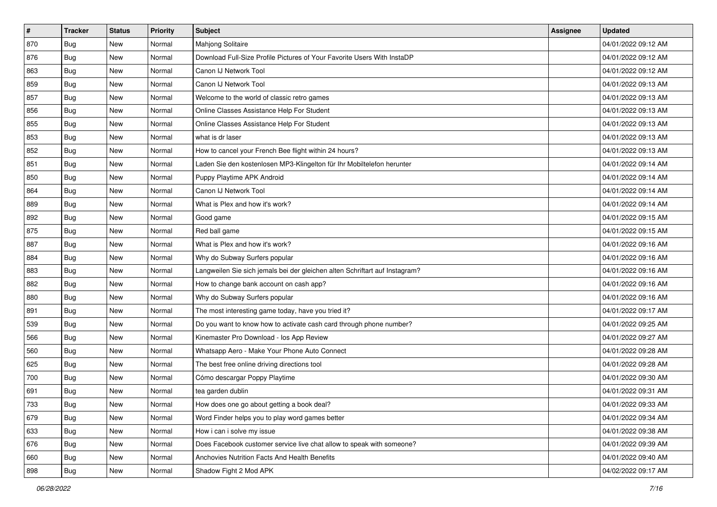| $\sharp$ | <b>Tracker</b> | <b>Status</b> | <b>Priority</b> | <b>Subject</b>                                                              | Assignee | <b>Updated</b>      |
|----------|----------------|---------------|-----------------|-----------------------------------------------------------------------------|----------|---------------------|
| 870      | <b>Bug</b>     | New           | Normal          | Mahjong Solitaire                                                           |          | 04/01/2022 09:12 AM |
| 876      | Bug            | New           | Normal          | Download Full-Size Profile Pictures of Your Favorite Users With InstaDP     |          | 04/01/2022 09:12 AM |
| 863      | Bug            | New           | Normal          | Canon IJ Network Tool                                                       |          | 04/01/2022 09:12 AM |
| 859      | <b>Bug</b>     | <b>New</b>    | Normal          | Canon IJ Network Tool                                                       |          | 04/01/2022 09:13 AM |
| 857      | <b>Bug</b>     | <b>New</b>    | Normal          | Welcome to the world of classic retro games                                 |          | 04/01/2022 09:13 AM |
| 856      | <b>Bug</b>     | New           | Normal          | Online Classes Assistance Help For Student                                  |          | 04/01/2022 09:13 AM |
| 855      | <b>Bug</b>     | New           | Normal          | Online Classes Assistance Help For Student                                  |          | 04/01/2022 09:13 AM |
| 853      | Bug            | New           | Normal          | what is dr laser                                                            |          | 04/01/2022 09:13 AM |
| 852      | <b>Bug</b>     | New           | Normal          | How to cancel your French Bee flight within 24 hours?                       |          | 04/01/2022 09:13 AM |
| 851      | <b>Bug</b>     | New           | Normal          | Laden Sie den kostenlosen MP3-Klingelton für Ihr Mobiltelefon herunter      |          | 04/01/2022 09:14 AM |
| 850      | <b>Bug</b>     | New           | Normal          | Puppy Playtime APK Android                                                  |          | 04/01/2022 09:14 AM |
| 864      | Bug            | New           | Normal          | Canon IJ Network Tool                                                       |          | 04/01/2022 09:14 AM |
| 889      | Bug            | <b>New</b>    | Normal          | What is Plex and how it's work?                                             |          | 04/01/2022 09:14 AM |
| 892      | <b>Bug</b>     | New           | Normal          | Good game                                                                   |          | 04/01/2022 09:15 AM |
| 875      | <b>Bug</b>     | New           | Normal          | Red ball game                                                               |          | 04/01/2022 09:15 AM |
| 887      | Bug            | New           | Normal          | What is Plex and how it's work?                                             |          | 04/01/2022 09:16 AM |
| 884      | <b>Bug</b>     | <b>New</b>    | Normal          | Why do Subway Surfers popular                                               |          | 04/01/2022 09:16 AM |
| 883      | Bug            | <b>New</b>    | Normal          | Langweilen Sie sich jemals bei der gleichen alten Schriftart auf Instagram? |          | 04/01/2022 09:16 AM |
| 882      | <b>Bug</b>     | New           | Normal          | How to change bank account on cash app?                                     |          | 04/01/2022 09:16 AM |
| 880      | Bug            | New           | Normal          | Why do Subway Surfers popular                                               |          | 04/01/2022 09:16 AM |
| 891      | <b>Bug</b>     | <b>New</b>    | Normal          | The most interesting game today, have you tried it?                         |          | 04/01/2022 09:17 AM |
| 539      | <b>Bug</b>     | New           | Normal          | Do you want to know how to activate cash card through phone number?         |          | 04/01/2022 09:25 AM |
| 566      | Bug            | <b>New</b>    | Normal          | Kinemaster Pro Download - los App Review                                    |          | 04/01/2022 09:27 AM |
| 560      | <b>Bug</b>     | New           | Normal          | Whatsapp Aero - Make Your Phone Auto Connect                                |          | 04/01/2022 09:28 AM |
| 625      | <b>Bug</b>     | New           | Normal          | The best free online driving directions tool                                |          | 04/01/2022 09:28 AM |
| 700      | <b>Bug</b>     | <b>New</b>    | Normal          | Cómo descargar Poppy Playtime                                               |          | 04/01/2022 09:30 AM |
| 691      | <b>Bug</b>     | New           | Normal          | tea garden dublin                                                           |          | 04/01/2022 09:31 AM |
| 733      | <b>Bug</b>     | New           | Normal          | How does one go about getting a book deal?                                  |          | 04/01/2022 09:33 AM |
| 679      | Bug            | New           | Normal          | Word Finder helps you to play word games better                             |          | 04/01/2022 09:34 AM |
| 633      | <b>Bug</b>     | New           | Normal          | How i can i solve my issue                                                  |          | 04/01/2022 09:38 AM |
| 676      | Bug            | New           | Normal          | Does Facebook customer service live chat allow to speak with someone?       |          | 04/01/2022 09:39 AM |
| 660      | <b>Bug</b>     | New           | Normal          | Anchovies Nutrition Facts And Health Benefits                               |          | 04/01/2022 09:40 AM |
| 898      | <b>Bug</b>     | New           | Normal          | Shadow Fight 2 Mod APK                                                      |          | 04/02/2022 09:17 AM |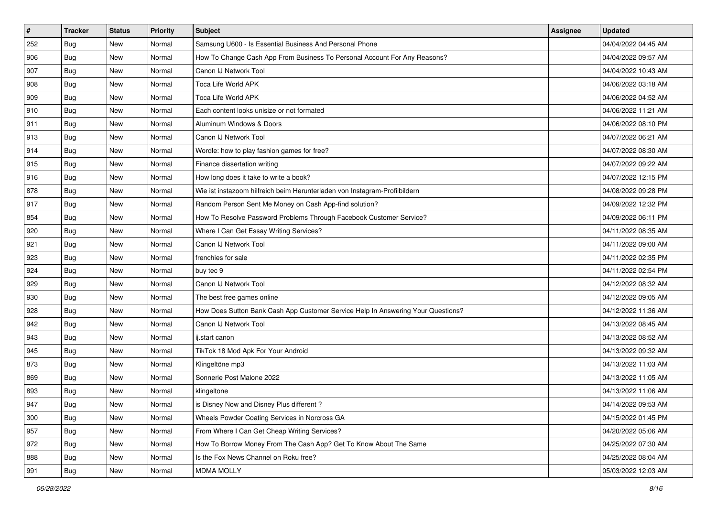| $\vert$ #     | <b>Tracker</b> | <b>Status</b> | <b>Priority</b> | Subject                                                                          | <b>Assignee</b> | <b>Updated</b>      |
|---------------|----------------|---------------|-----------------|----------------------------------------------------------------------------------|-----------------|---------------------|
| 252           | Bug            | New           | Normal          | Samsung U600 - Is Essential Business And Personal Phone                          |                 | 04/04/2022 04:45 AM |
| 906           | Bug            | New           | Normal          | How To Change Cash App From Business To Personal Account For Any Reasons?        |                 | 04/04/2022 09:57 AM |
| 907           | Bug            | New           | Normal          | Canon IJ Network Tool                                                            |                 | 04/04/2022 10:43 AM |
| 908           | Bug            | New           | Normal          | Toca Life World APK                                                              |                 | 04/06/2022 03:18 AM |
| 909           | Bug            | New           | Normal          | Toca Life World APK                                                              |                 | 04/06/2022 04:52 AM |
| $ 910\rangle$ | Bug            | New           | Normal          | Each content looks unisize or not formated                                       |                 | 04/06/2022 11:21 AM |
| 911           | <b>Bug</b>     | New           | Normal          | Aluminum Windows & Doors                                                         |                 | 04/06/2022 08:10 PM |
| 913           | Bug            | <b>New</b>    | Normal          | Canon IJ Network Tool                                                            |                 | 04/07/2022 06:21 AM |
| 914           | <b>Bug</b>     | New           | Normal          | Wordle: how to play fashion games for free?                                      |                 | 04/07/2022 08:30 AM |
| 915           | Bug            | New           | Normal          | Finance dissertation writing                                                     |                 | 04/07/2022 09:22 AM |
| 916           | <b>Bug</b>     | New           | Normal          | How long does it take to write a book?                                           |                 | 04/07/2022 12:15 PM |
| 878           | <b>Bug</b>     | New           | Normal          | Wie ist instazoom hilfreich beim Herunterladen von Instagram-Profilbildern       |                 | 04/08/2022 09:28 PM |
| 917           | Bug            | <b>New</b>    | Normal          | Random Person Sent Me Money on Cash App-find solution?                           |                 | 04/09/2022 12:32 PM |
| 854           | Bug            | New           | Normal          | How To Resolve Password Problems Through Facebook Customer Service?              |                 | 04/09/2022 06:11 PM |
| 920           | <b>Bug</b>     | New           | Normal          | Where I Can Get Essay Writing Services?                                          |                 | 04/11/2022 08:35 AM |
| 921           | <b>Bug</b>     | New           | Normal          | Canon IJ Network Tool                                                            |                 | 04/11/2022 09:00 AM |
| 923           | Bug            | <b>New</b>    | Normal          | frenchies for sale                                                               |                 | 04/11/2022 02:35 PM |
| 924           | Bug            | <b>New</b>    | Normal          | buy tec 9                                                                        |                 | 04/11/2022 02:54 PM |
| 929           | Bug            | New           | Normal          | Canon IJ Network Tool                                                            |                 | 04/12/2022 08:32 AM |
| 930           | <b>Bug</b>     | New           | Normal          | The best free games online                                                       |                 | 04/12/2022 09:05 AM |
| 928           | Bug            | <b>New</b>    | Normal          | How Does Sutton Bank Cash App Customer Service Help In Answering Your Questions? |                 | 04/12/2022 11:36 AM |
| 942           | <b>Bug</b>     | New           | Normal          | Canon IJ Network Tool                                                            |                 | 04/13/2022 08:45 AM |
| 943           | Bug            | New           | Normal          | ij.start canon                                                                   |                 | 04/13/2022 08:52 AM |
| 945           | Bug            | New           | Normal          | TikTok 18 Mod Apk For Your Android                                               |                 | 04/13/2022 09:32 AM |
| 873           | <b>Bug</b>     | New           | Normal          | Klingeltöne mp3                                                                  |                 | 04/13/2022 11:03 AM |
| 869           | Bug            | <b>New</b>    | Normal          | Sonnerie Post Malone 2022                                                        |                 | 04/13/2022 11:05 AM |
| 893           | Bug            | New           | Normal          | klingeltone                                                                      |                 | 04/13/2022 11:06 AM |
| 947           | Bug            | New           | Normal          | is Disney Now and Disney Plus different?                                         |                 | 04/14/2022 09:53 AM |
| 300           | Bug            | New           | Normal          | Wheels Powder Coating Services in Norcross GA                                    |                 | 04/15/2022 01:45 PM |
| 957           | Bug            | New           | Normal          | From Where I Can Get Cheap Writing Services?                                     |                 | 04/20/2022 05:06 AM |
| 972           | <b>Bug</b>     | New           | Normal          | How To Borrow Money From The Cash App? Get To Know About The Same                |                 | 04/25/2022 07:30 AM |
| 888           | Bug            | New           | Normal          | Is the Fox News Channel on Roku free?                                            |                 | 04/25/2022 08:04 AM |
| 991           | <b>Bug</b>     | New           | Normal          | <b>MDMA MOLLY</b>                                                                |                 | 05/03/2022 12:03 AM |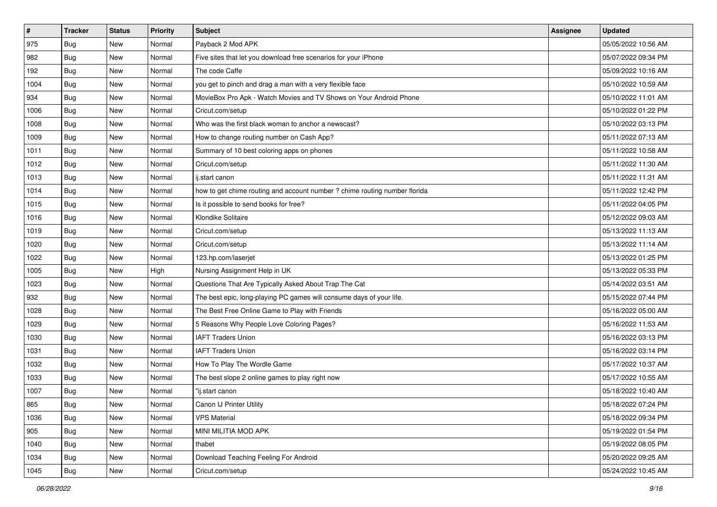| $\vert$ # | <b>Tracker</b> | <b>Status</b> | <b>Priority</b> | <b>Subject</b>                                                             | <b>Assignee</b> | <b>Updated</b>      |
|-----------|----------------|---------------|-----------------|----------------------------------------------------------------------------|-----------------|---------------------|
| 975       | <b>Bug</b>     | New           | Normal          | Payback 2 Mod APK                                                          |                 | 05/05/2022 10:56 AM |
| 982       | Bug            | New           | Normal          | Five sites that let you download free scenarios for your iPhone            |                 | 05/07/2022 09:34 PM |
| 192       | Bug            | New           | Normal          | The code Caffe                                                             |                 | 05/09/2022 10:16 AM |
| 1004      | <b>Bug</b>     | New           | Normal          | you get to pinch and drag a man with a very flexible face                  |                 | 05/10/2022 10:59 AM |
| 934       | Bug            | <b>New</b>    | Normal          | MovieBox Pro Apk - Watch Movies and TV Shows on Your Android Phone         |                 | 05/10/2022 11:01 AM |
| 1006      | <b>Bug</b>     | New           | Normal          | Cricut.com/setup                                                           |                 | 05/10/2022 01:22 PM |
| 1008      | Bug            | New           | Normal          | Who was the first black woman to anchor a newscast?                        |                 | 05/10/2022 03:13 PM |
| 1009      | Bug            | New           | Normal          | How to change routing number on Cash App?                                  |                 | 05/11/2022 07:13 AM |
| 1011      | <b>Bug</b>     | New           | Normal          | Summary of 10 best coloring apps on phones                                 |                 | 05/11/2022 10:58 AM |
| 1012      | Bug            | New           | Normal          | Cricut.com/setup                                                           |                 | 05/11/2022 11:30 AM |
| 1013      | Bug            | New           | Normal          | ij.start canon                                                             |                 | 05/11/2022 11:31 AM |
| 1014      | Bug            | New           | Normal          | how to get chime routing and account number ? chime routing number florida |                 | 05/11/2022 12:42 PM |
| 1015      | Bug            | <b>New</b>    | Normal          | Is it possible to send books for free?                                     |                 | 05/11/2022 04:05 PM |
| 1016      | <b>Bug</b>     | New           | Normal          | Klondike Solitaire                                                         |                 | 05/12/2022 09:03 AM |
| 1019      | Bug            | New           | Normal          | Cricut.com/setup                                                           |                 | 05/13/2022 11:13 AM |
| 1020      | Bug            | New           | Normal          | Cricut.com/setup                                                           |                 | 05/13/2022 11:14 AM |
| 1022      | Bug            | New           | Normal          | 123.hp.com/laserjet                                                        |                 | 05/13/2022 01:25 PM |
| 1005      | Bug            | New           | High            | Nursing Assignment Help in UK                                              |                 | 05/13/2022 05:33 PM |
| 1023      | <b>Bug</b>     | New           | Normal          | Questions That Are Typically Asked About Trap The Cat                      |                 | 05/14/2022 03:51 AM |
| 932       | Bug            | New           | Normal          | The best epic, long-playing PC games will consume days of your life.       |                 | 05/15/2022 07:44 PM |
| 1028      | Bug            | New           | Normal          | The Best Free Online Game to Play with Friends                             |                 | 05/16/2022 05:00 AM |
| 1029      | <b>Bug</b>     | New           | Normal          | 5 Reasons Why People Love Coloring Pages?                                  |                 | 05/16/2022 11:53 AM |
| 1030      | Bug            | <b>New</b>    | Normal          | <b>IAFT Traders Union</b>                                                  |                 | 05/16/2022 03:13 PM |
| 1031      | Bug            | New           | Normal          | <b>IAFT Traders Union</b>                                                  |                 | 05/16/2022 03:14 PM |
| 1032      | <b>Bug</b>     | New           | Normal          | How To Play The Wordle Game                                                |                 | 05/17/2022 10:37 AM |
| 1033      | Bug            | New           | Normal          | The best slope 2 online games to play right now                            |                 | 05/17/2022 10:55 AM |
| 1007      | <b>Bug</b>     | New           | Normal          | "ij.start canon                                                            |                 | 05/18/2022 10:40 AM |
| 865       | <b>Bug</b>     | New           | Normal          | Canon IJ Printer Utility                                                   |                 | 05/18/2022 07:24 PM |
| 1036      | <b>Bug</b>     | New           | Normal          | <b>VPS Material</b>                                                        |                 | 05/18/2022 09:34 PM |
| 905       | Bug            | New           | Normal          | MINI MILITIA MOD APK                                                       |                 | 05/19/2022 01:54 PM |
| 1040      | Bug            | New           | Normal          | thabet                                                                     |                 | 05/19/2022 08:05 PM |
| 1034      | Bug            | New           | Normal          | Download Teaching Feeling For Android                                      |                 | 05/20/2022 09:25 AM |
| 1045      | <b>Bug</b>     | New           | Normal          | Cricut.com/setup                                                           |                 | 05/24/2022 10:45 AM |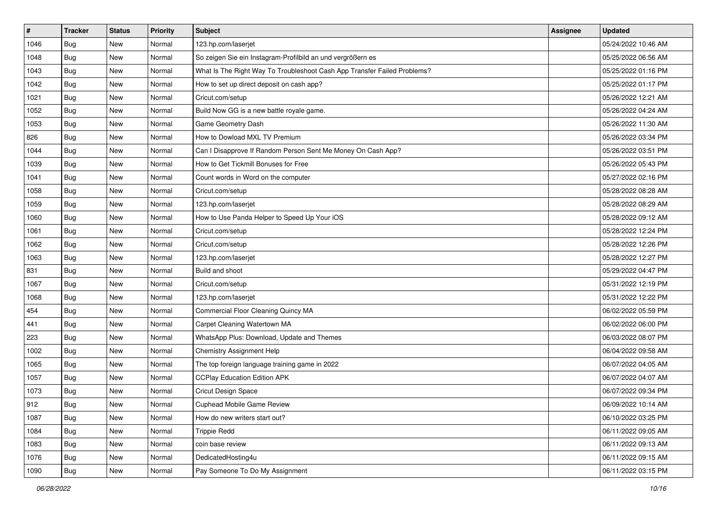| #    | <b>Tracker</b> | <b>Status</b> | <b>Priority</b> | <b>Subject</b>                                                           | <b>Assignee</b> | <b>Updated</b>      |
|------|----------------|---------------|-----------------|--------------------------------------------------------------------------|-----------------|---------------------|
| 1046 | <b>Bug</b>     | New           | Normal          | 123.hp.com/laserjet                                                      |                 | 05/24/2022 10:46 AM |
| 1048 | Bug            | New           | Normal          | So zeigen Sie ein Instagram-Profilbild an und vergrößern es              |                 | 05/25/2022 06:56 AM |
| 1043 | Bug            | New           | Normal          | What Is The Right Way To Troubleshoot Cash App Transfer Failed Problems? |                 | 05/25/2022 01:16 PM |
| 1042 | <b>Bug</b>     | New           | Normal          | How to set up direct deposit on cash app?                                |                 | 05/25/2022 01:17 PM |
| 1021 | Bug            | New           | Normal          | Cricut.com/setup                                                         |                 | 05/26/2022 12:21 AM |
| 1052 | Bug            | New           | Normal          | Build Now GG is a new battle royale game.                                |                 | 05/26/2022 04:24 AM |
| 1053 | Bug            | New           | Normal          | Game Geometry Dash                                                       |                 | 05/26/2022 11:30 AM |
| 826  | Bug            | New           | Normal          | How to Dowload MXL TV Premium                                            |                 | 05/26/2022 03:34 PM |
| 1044 | Bug            | New           | Normal          | Can I Disapprove If Random Person Sent Me Money On Cash App?             |                 | 05/26/2022 03:51 PM |
| 1039 | Bug            | New           | Normal          | How to Get Tickmill Bonuses for Free                                     |                 | 05/26/2022 05:43 PM |
| 1041 | Bug            | New           | Normal          | Count words in Word on the computer                                      |                 | 05/27/2022 02:16 PM |
| 1058 | <b>Bug</b>     | New           | Normal          | Cricut.com/setup                                                         |                 | 05/28/2022 08:28 AM |
| 1059 | Bug            | <b>New</b>    | Normal          | 123.hp.com/laserjet                                                      |                 | 05/28/2022 08:29 AM |
| 1060 | Bug            | New           | Normal          | How to Use Panda Helper to Speed Up Your iOS                             |                 | 05/28/2022 09:12 AM |
| 1061 | Bug            | New           | Normal          | Cricut.com/setup                                                         |                 | 05/28/2022 12:24 PM |
| 1062 | Bug            | New           | Normal          | Cricut.com/setup                                                         |                 | 05/28/2022 12:26 PM |
| 1063 | Bug            | New           | Normal          | 123.hp.com/laserjet                                                      |                 | 05/28/2022 12:27 PM |
| 831  | Bug            | New           | Normal          | Build and shoot                                                          |                 | 05/29/2022 04:47 PM |
| 1067 | <b>Bug</b>     | New           | Normal          | Cricut.com/setup                                                         |                 | 05/31/2022 12:19 PM |
| 1068 | <b>Bug</b>     | New           | Normal          | 123.hp.com/laserjet                                                      |                 | 05/31/2022 12:22 PM |
| 454  | Bug            | <b>New</b>    | Normal          | Commercial Floor Cleaning Quincy MA                                      |                 | 06/02/2022 05:59 PM |
| 441  | Bug            | New           | Normal          | Carpet Cleaning Watertown MA                                             |                 | 06/02/2022 06:00 PM |
| 223  | Bug            | New           | Normal          | WhatsApp Plus: Download, Update and Themes                               |                 | 06/03/2022 08:07 PM |
| 1002 | Bug            | New           | Normal          | Chemistry Assignment Help                                                |                 | 06/04/2022 09:58 AM |
| 1065 | <b>Bug</b>     | New           | Normal          | The top foreign language training game in 2022                           |                 | 06/07/2022 04:05 AM |
| 1057 | Bug            | New           | Normal          | <b>CCPlay Education Edition APK</b>                                      |                 | 06/07/2022 04:07 AM |
| 1073 | Bug            | New           | Normal          | Cricut Design Space                                                      |                 | 06/07/2022 09:34 PM |
| 912  | Bug            | New           | Normal          | Cuphead Mobile Game Review                                               |                 | 06/09/2022 10:14 AM |
| 1087 | Bug            | New           | Normal          | How do new writers start out?                                            |                 | 06/10/2022 03:25 PM |
| 1084 | Bug            | New           | Normal          | <b>Trippie Redd</b>                                                      |                 | 06/11/2022 09:05 AM |
| 1083 | Bug            | New           | Normal          | coin base review                                                         |                 | 06/11/2022 09:13 AM |
| 1076 | <b>Bug</b>     | New           | Normal          | DedicatedHosting4u                                                       |                 | 06/11/2022 09:15 AM |
| 1090 | <b>Bug</b>     | New           | Normal          | Pay Someone To Do My Assignment                                          |                 | 06/11/2022 03:15 PM |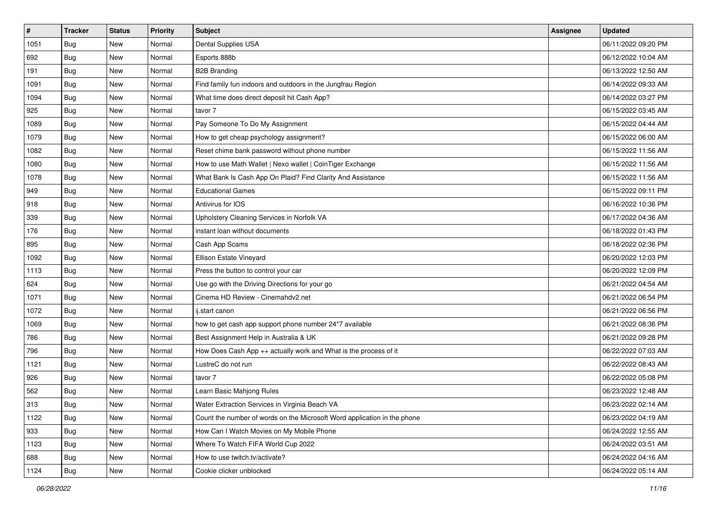| $\vert$ # | <b>Tracker</b> | <b>Status</b> | <b>Priority</b> | Subject                                                                  | Assignee | <b>Updated</b>      |
|-----------|----------------|---------------|-----------------|--------------------------------------------------------------------------|----------|---------------------|
| 1051      | <b>Bug</b>     | New           | Normal          | Dental Supplies USA                                                      |          | 06/11/2022 09:20 PM |
| 692       | Bug            | New           | Normal          | Esports 888b                                                             |          | 06/12/2022 10:04 AM |
| 191       | Bug            | New           | Normal          | <b>B2B Branding</b>                                                      |          | 06/13/2022 12:50 AM |
| 1091      | <b>Bug</b>     | New           | Normal          | Find family fun indoors and outdoors in the Jungfrau Region              |          | 06/14/2022 09:33 AM |
| 1094      | Bug            | <b>New</b>    | Normal          | What time does direct deposit hit Cash App?                              |          | 06/14/2022 03:27 PM |
| 925       | <b>Bug</b>     | New           | Normal          | tavor 7                                                                  |          | 06/15/2022 03:45 AM |
| 1089      | Bug            | New           | Normal          | Pay Someone To Do My Assignment                                          |          | 06/15/2022 04:44 AM |
| 1079      | Bug            | New           | Normal          | How to get cheap psychology assignment?                                  |          | 06/15/2022 06:00 AM |
| 1082      | <b>Bug</b>     | New           | Normal          | Reset chime bank password without phone number                           |          | 06/15/2022 11:56 AM |
| 1080      | Bug            | New           | Normal          | How to use Math Wallet   Nexo wallet   CoinTiger Exchange                |          | 06/15/2022 11:56 AM |
| 1078      | Bug            | New           | Normal          | What Bank Is Cash App On Plaid? Find Clarity And Assistance              |          | 06/15/2022 11:56 AM |
| 949       | <b>Bug</b>     | New           | Normal          | <b>Educational Games</b>                                                 |          | 06/15/2022 09:11 PM |
| 918       | Bug            | New           | Normal          | Antivirus for IOS                                                        |          | 06/16/2022 10:36 PM |
| 339       | Bug            | New           | Normal          | Upholstery Cleaning Services in Norfolk VA                               |          | 06/17/2022 04:36 AM |
| 176       | <b>Bug</b>     | New           | Normal          | instant loan without documents                                           |          | 06/18/2022 01:43 PM |
| 895       | Bug            | New           | Normal          | Cash App Scams                                                           |          | 06/18/2022 02:36 PM |
| 1092      | Bug            | New           | Normal          | Ellison Estate Vineyard                                                  |          | 06/20/2022 12:03 PM |
| 1113      | Bug            | <b>New</b>    | Normal          | Press the button to control your car                                     |          | 06/20/2022 12:09 PM |
| 624       | <b>Bug</b>     | New           | Normal          | Use go with the Driving Directions for your go                           |          | 06/21/2022 04:54 AM |
| 1071      | <b>Bug</b>     | New           | Normal          | Cinema HD Review - Cinemahdv2.net                                        |          | 06/21/2022 06:54 PM |
| 1072      | Bug            | New           | Normal          | ij.start canon                                                           |          | 06/21/2022 06:56 PM |
| 1069      | <b>Bug</b>     | New           | Normal          | how to get cash app support phone number 24*7 available                  |          | 06/21/2022 08:36 PM |
| 786       | Bug            | New           | Normal          | Best Assignment Help in Australia & UK                                   |          | 06/21/2022 09:28 PM |
| 796       | <b>Bug</b>     | New           | Normal          | How Does Cash App ++ actually work and What is the process of it         |          | 06/22/2022 07:03 AM |
| 1121      | <b>Bug</b>     | New           | Normal          | LustreC do not run                                                       |          | 06/22/2022 08:43 AM |
| 926       | Bug            | New           | Normal          | tavor 7                                                                  |          | 06/22/2022 05:08 PM |
| 562       | <b>Bug</b>     | New           | Normal          | Learn Basic Mahjong Rules                                                |          | 06/23/2022 12:48 AM |
| 313       | Bug            | New           | Normal          | Water Extraction Services in Virginia Beach VA                           |          | 06/23/2022 02:14 AM |
| 1122      | Bug            | New           | Normal          | Count the number of words on the Microsoft Word application in the phone |          | 06/23/2022 04:19 AM |
| 933       | Bug            | New           | Normal          | How Can I Watch Movies on My Mobile Phone                                |          | 06/24/2022 12:55 AM |
| 1123      | Bug            | New           | Normal          | Where To Watch FIFA World Cup 2022                                       |          | 06/24/2022 03:51 AM |
| 688       | <b>Bug</b>     | New           | Normal          | How to use twitch.tv/activate?                                           |          | 06/24/2022 04:16 AM |
| 1124      | <b>Bug</b>     | New           | Normal          | Cookie clicker unblocked                                                 |          | 06/24/2022 05:14 AM |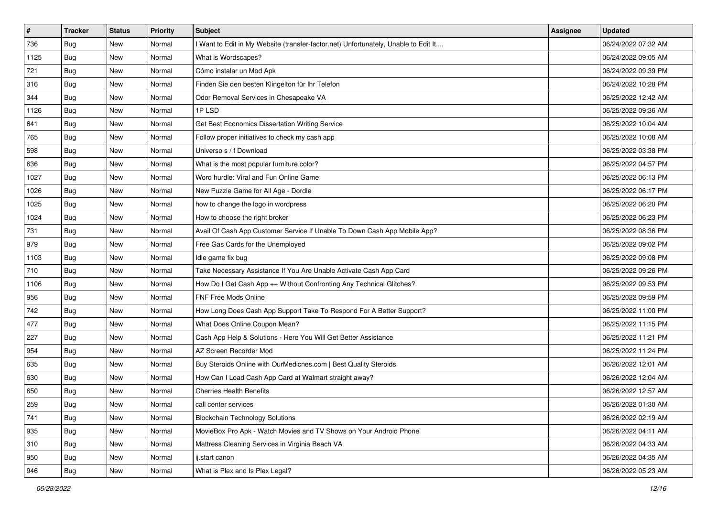| #    | <b>Tracker</b> | <b>Status</b> | <b>Priority</b> | Subject                                                                             | <b>Assignee</b> | <b>Updated</b>      |
|------|----------------|---------------|-----------------|-------------------------------------------------------------------------------------|-----------------|---------------------|
| 736  | <b>Bug</b>     | New           | Normal          | I Want to Edit in My Website (transfer-factor.net) Unfortunately, Unable to Edit It |                 | 06/24/2022 07:32 AM |
| 1125 | Bug            | New           | Normal          | What is Wordscapes?                                                                 |                 | 06/24/2022 09:05 AM |
| 721  | Bug            | New           | Normal          | Cómo instalar un Mod Apk                                                            |                 | 06/24/2022 09:39 PM |
| 316  | <b>Bug</b>     | New           | Normal          | Finden Sie den besten Klingelton für Ihr Telefon                                    |                 | 06/24/2022 10:28 PM |
| 344  | Bug            | New           | Normal          | Odor Removal Services in Chesapeake VA                                              |                 | 06/25/2022 12:42 AM |
| 1126 | <b>Bug</b>     | New           | Normal          | 1PLSD                                                                               |                 | 06/25/2022 09:36 AM |
| 641  | <b>Bug</b>     | New           | Normal          | Get Best Economics Dissertation Writing Service                                     |                 | 06/25/2022 10:04 AM |
| 765  | <b>Bug</b>     | New           | Normal          | Follow proper initiatives to check my cash app                                      |                 | 06/25/2022 10:08 AM |
| 598  | Bug            | New           | Normal          | Universo s / f Download                                                             |                 | 06/25/2022 03:38 PM |
| 636  | Bug            | New           | Normal          | What is the most popular furniture color?                                           |                 | 06/25/2022 04:57 PM |
| 1027 | Bug            | New           | Normal          | Word hurdle: Viral and Fun Online Game                                              |                 | 06/25/2022 06:13 PM |
| 1026 | <b>Bug</b>     | New           | Normal          | New Puzzle Game for All Age - Dordle                                                |                 | 06/25/2022 06:17 PM |
| 1025 | Bug            | New           | Normal          | how to change the logo in wordpress                                                 |                 | 06/25/2022 06:20 PM |
| 1024 | <b>Bug</b>     | New           | Normal          | How to choose the right broker                                                      |                 | 06/25/2022 06:23 PM |
| 731  | <b>Bug</b>     | New           | Normal          | Avail Of Cash App Customer Service If Unable To Down Cash App Mobile App?           |                 | 06/25/2022 08:36 PM |
| 979  | <b>Bug</b>     | New           | Normal          | Free Gas Cards for the Unemployed                                                   |                 | 06/25/2022 09:02 PM |
| 1103 | <b>Bug</b>     | New           | Normal          | Idle game fix bug                                                                   |                 | 06/25/2022 09:08 PM |
| 710  | Bug            | New           | Normal          | Take Necessary Assistance If You Are Unable Activate Cash App Card                  |                 | 06/25/2022 09:26 PM |
| 1106 | <b>Bug</b>     | New           | Normal          | How Do I Get Cash App ++ Without Confronting Any Technical Glitches?                |                 | 06/25/2022 09:53 PM |
| 956  | Bug            | New           | Normal          | FNF Free Mods Online                                                                |                 | 06/25/2022 09:59 PM |
| 742  | <b>Bug</b>     | New           | Normal          | How Long Does Cash App Support Take To Respond For A Better Support?                |                 | 06/25/2022 11:00 PM |
| 477  | Bug            | New           | Normal          | What Does Online Coupon Mean?                                                       |                 | 06/25/2022 11:15 PM |
| 227  | Bug            | New           | Normal          | Cash App Help & Solutions - Here You Will Get Better Assistance                     |                 | 06/25/2022 11:21 PM |
| 954  | <b>Bug</b>     | New           | Normal          | AZ Screen Recorder Mod                                                              |                 | 06/25/2022 11:24 PM |
| 635  | <b>Bug</b>     | New           | Normal          | Buy Steroids Online with OurMedicnes.com   Best Quality Steroids                    |                 | 06/26/2022 12:01 AM |
| 630  | Bug            | New           | Normal          | How Can I Load Cash App Card at Walmart straight away?                              |                 | 06/26/2022 12:04 AM |
| 650  | <b>Bug</b>     | New           | Normal          | <b>Cherries Health Benefits</b>                                                     |                 | 06/26/2022 12:57 AM |
| 259  | Bug            | New           | Normal          | call center services                                                                |                 | 06/26/2022 01:30 AM |
| 741  | Bug            | New           | Normal          | <b>Blockchain Technology Solutions</b>                                              |                 | 06/26/2022 02:19 AM |
| 935  | Bug            | New           | Normal          | MovieBox Pro Apk - Watch Movies and TV Shows on Your Android Phone                  |                 | 06/26/2022 04:11 AM |
| 310  | Bug            | New           | Normal          | Mattress Cleaning Services in Virginia Beach VA                                     |                 | 06/26/2022 04:33 AM |
| 950  | <b>Bug</b>     | New           | Normal          | ij.start canon                                                                      |                 | 06/26/2022 04:35 AM |
| 946  | <b>Bug</b>     | New           | Normal          | What is Plex and Is Plex Legal?                                                     |                 | 06/26/2022 05:23 AM |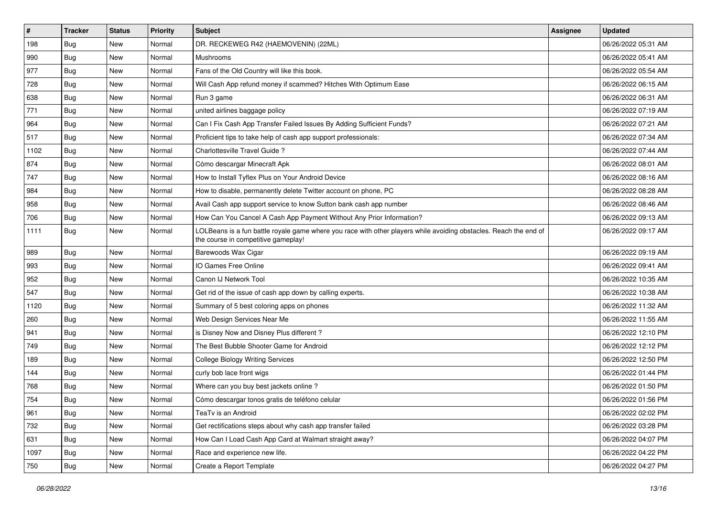| $\vert$ # | <b>Tracker</b> | <b>Status</b> | <b>Priority</b> | Subject                                                                                                                                                  | Assignee | <b>Updated</b>      |
|-----------|----------------|---------------|-----------------|----------------------------------------------------------------------------------------------------------------------------------------------------------|----------|---------------------|
| 198       | Bug            | New           | Normal          | DR. RECKEWEG R42 (HAEMOVENIN) (22ML)                                                                                                                     |          | 06/26/2022 05:31 AM |
| 990       | Bug            | <b>New</b>    | Normal          | Mushrooms                                                                                                                                                |          | 06/26/2022 05:41 AM |
| 977       | Bug            | New           | Normal          | Fans of the Old Country will like this book.                                                                                                             |          | 06/26/2022 05:54 AM |
| 728       | <b>Bug</b>     | <b>New</b>    | Normal          | Will Cash App refund money if scammed? Hitches With Optimum Ease                                                                                         |          | 06/26/2022 06:15 AM |
| 638       | Bug            | <b>New</b>    | Normal          | Run 3 game                                                                                                                                               |          | 06/26/2022 06:31 AM |
| 771       | Bug            | <b>New</b>    | Normal          | united airlines baggage policy                                                                                                                           |          | 06/26/2022 07:19 AM |
| 964       | Bug            | <b>New</b>    | Normal          | Can I Fix Cash App Transfer Failed Issues By Adding Sufficient Funds?                                                                                    |          | 06/26/2022 07:21 AM |
| 517       | <b>Bug</b>     | New           | Normal          | Proficient tips to take help of cash app support professionals:                                                                                          |          | 06/26/2022 07:34 AM |
| 1102      | <b>Bug</b>     | <b>New</b>    | Normal          | Charlottesville Travel Guide?                                                                                                                            |          | 06/26/2022 07:44 AM |
| 874       | Bug            | <b>New</b>    | Normal          | Cómo descargar Minecraft Apk                                                                                                                             |          | 06/26/2022 08:01 AM |
| 747       | <b>Bug</b>     | New           | Normal          | How to Install Tyflex Plus on Your Android Device                                                                                                        |          | 06/26/2022 08:16 AM |
| 984       | Bug            | New           | Normal          | How to disable, permanently delete Twitter account on phone, PC                                                                                          |          | 06/26/2022 08:28 AM |
| 958       | Bug            | New           | Normal          | Avail Cash app support service to know Sutton bank cash app number                                                                                       |          | 06/26/2022 08:46 AM |
| 706       | <b>Bug</b>     | New           | Normal          | How Can You Cancel A Cash App Payment Without Any Prior Information?                                                                                     |          | 06/26/2022 09:13 AM |
| 1111      | Bug            | New           | Normal          | LOLBeans is a fun battle royale game where you race with other players while avoiding obstacles. Reach the end of<br>the course in competitive gameplay! |          | 06/26/2022 09:17 AM |
| 989       | Bug            | <b>New</b>    | Normal          | Barewoods Wax Cigar                                                                                                                                      |          | 06/26/2022 09:19 AM |
| 993       | Bug            | <b>New</b>    | Normal          | IO Games Free Online                                                                                                                                     |          | 06/26/2022 09:41 AM |
| 952       | <b>Bug</b>     | <b>New</b>    | Normal          | Canon IJ Network Tool                                                                                                                                    |          | 06/26/2022 10:35 AM |
| 547       | Bug            | New           | Normal          | Get rid of the issue of cash app down by calling experts.                                                                                                |          | 06/26/2022 10:38 AM |
| 1120      | Bug            | <b>New</b>    | Normal          | Summary of 5 best coloring apps on phones                                                                                                                |          | 06/26/2022 11:32 AM |
| 260       | <b>Bug</b>     | <b>New</b>    | Normal          | Web Design Services Near Me                                                                                                                              |          | 06/26/2022 11:55 AM |
| 941       | Bug            | <b>New</b>    | Normal          | is Disney Now and Disney Plus different?                                                                                                                 |          | 06/26/2022 12:10 PM |
| 749       | <b>Bug</b>     | New           | Normal          | The Best Bubble Shooter Game for Android                                                                                                                 |          | 06/26/2022 12:12 PM |
| 189       | <b>Bug</b>     | New           | Normal          | <b>College Biology Writing Services</b>                                                                                                                  |          | 06/26/2022 12:50 PM |
| 144       | <b>Bug</b>     | <b>New</b>    | Normal          | curly bob lace front wigs                                                                                                                                |          | 06/26/2022 01:44 PM |
| 768       | Bug            | New           | Normal          | Where can you buy best jackets online?                                                                                                                   |          | 06/26/2022 01:50 PM |
| 754       | <b>Bug</b>     | New           | Normal          | Cómo descargar tonos gratis de teléfono celular                                                                                                          |          | 06/26/2022 01:56 PM |
| 961       | <b>Bug</b>     | New           | Normal          | TeaTv is an Android                                                                                                                                      |          | 06/26/2022 02:02 PM |
| 732       | Bug            | New           | Normal          | Get rectifications steps about why cash app transfer failed                                                                                              |          | 06/26/2022 03:28 PM |
| 631       | Bug            | New           | Normal          | How Can I Load Cash App Card at Walmart straight away?                                                                                                   |          | 06/26/2022 04:07 PM |
| 1097      | <b>Bug</b>     | New           | Normal          | Race and experience new life.                                                                                                                            |          | 06/26/2022 04:22 PM |
| 750       | <b>Bug</b>     | New           | Normal          | Create a Report Template                                                                                                                                 |          | 06/26/2022 04:27 PM |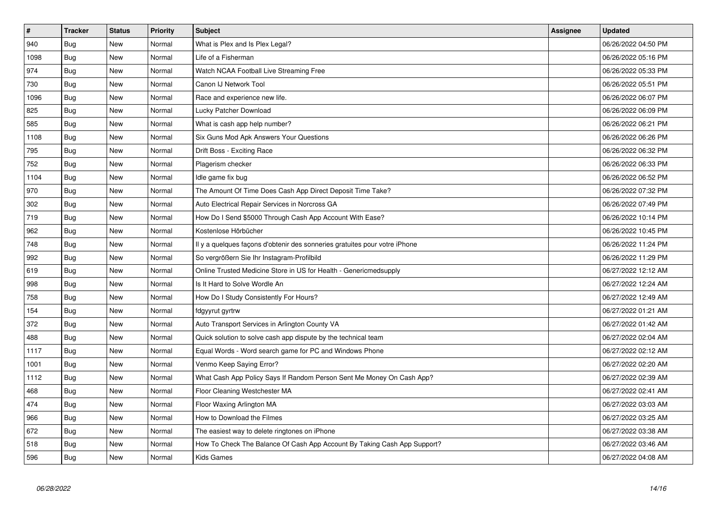| $\pmb{\#}$ | <b>Tracker</b> | <b>Status</b> | <b>Priority</b> | <b>Subject</b>                                                             | <b>Assignee</b> | <b>Updated</b>      |
|------------|----------------|---------------|-----------------|----------------------------------------------------------------------------|-----------------|---------------------|
| 940        | Bug            | <b>New</b>    | Normal          | What is Plex and Is Plex Legal?                                            |                 | 06/26/2022 04:50 PM |
| 1098       | <b>Bug</b>     | <b>New</b>    | Normal          | Life of a Fisherman                                                        |                 | 06/26/2022 05:16 PM |
| 974        | Bug            | New           | Normal          | Watch NCAA Football Live Streaming Free                                    |                 | 06/26/2022 05:33 PM |
| 730        | <b>Bug</b>     | New           | Normal          | Canon IJ Network Tool                                                      |                 | 06/26/2022 05:51 PM |
| 1096       | Bug            | <b>New</b>    | Normal          | Race and experience new life.                                              |                 | 06/26/2022 06:07 PM |
| 825        | <b>Bug</b>     | <b>New</b>    | Normal          | Lucky Patcher Download                                                     |                 | 06/26/2022 06:09 PM |
| 585        | Bug            | New           | Normal          | What is cash app help number?                                              |                 | 06/26/2022 06:21 PM |
| 1108       | <b>Bug</b>     | New           | Normal          | Six Guns Mod Apk Answers Your Questions                                    |                 | 06/26/2022 06:26 PM |
| 795        | Bug            | <b>New</b>    | Normal          | Drift Boss - Exciting Race                                                 |                 | 06/26/2022 06:32 PM |
| 752        | Bug            | <b>New</b>    | Normal          | Plagerism checker                                                          |                 | 06/26/2022 06:33 PM |
| 1104       | Bug            | New           | Normal          | Idle game fix bug                                                          |                 | 06/26/2022 06:52 PM |
| 970        | Bug            | New           | Normal          | The Amount Of Time Does Cash App Direct Deposit Time Take?                 |                 | 06/26/2022 07:32 PM |
| 302        | Bug            | <b>New</b>    | Normal          | Auto Electrical Repair Services in Norcross GA                             |                 | 06/26/2022 07:49 PM |
| 719        | <b>Bug</b>     | New           | Normal          | How Do I Send \$5000 Through Cash App Account With Ease?                   |                 | 06/26/2022 10:14 PM |
| 962        | Bug            | New           | Normal          | Kostenlose Hörbücher                                                       |                 | 06/26/2022 10:45 PM |
| 748        | Bug            | New           | Normal          | Il y a quelques façons d'obtenir des sonneries gratuites pour votre iPhone |                 | 06/26/2022 11:24 PM |
| 992        | Bug            | New           | Normal          | So vergrößern Sie Ihr Instagram-Profilbild                                 |                 | 06/26/2022 11:29 PM |
| 619        | Bug            | New           | Normal          | Online Trusted Medicine Store in US for Health - Genericmedsupply          |                 | 06/27/2022 12:12 AM |
| 998        | Bug            | New           | Normal          | Is It Hard to Solve Wordle An                                              |                 | 06/27/2022 12:24 AM |
| 758        | Bug            | New           | Normal          | How Do I Study Consistently For Hours?                                     |                 | 06/27/2022 12:49 AM |
| 154        | Bug            | New           | Normal          | fdgyyrut gyrtrw                                                            |                 | 06/27/2022 01:21 AM |
| 372        | Bug            | New           | Normal          | Auto Transport Services in Arlington County VA                             |                 | 06/27/2022 01:42 AM |
| 488        | Bug            | New           | Normal          | Quick solution to solve cash app dispute by the technical team             |                 | 06/27/2022 02:04 AM |
| 1117       | Bug            | New           | Normal          | Equal Words - Word search game for PC and Windows Phone                    |                 | 06/27/2022 02:12 AM |
| 1001       | <b>Bug</b>     | New           | Normal          | Venmo Keep Saying Error?                                                   |                 | 06/27/2022 02:20 AM |
| 1112       | Bug            | New           | Normal          | What Cash App Policy Says If Random Person Sent Me Money On Cash App?      |                 | 06/27/2022 02:39 AM |
| 468        | Bug            | New           | Normal          | Floor Cleaning Westchester MA                                              |                 | 06/27/2022 02:41 AM |
| 474        | <b>Bug</b>     | New           | Normal          | Floor Waxing Arlington MA                                                  |                 | 06/27/2022 03:03 AM |
| 966        | Bug            | New           | Normal          | How to Download the Filmes                                                 |                 | 06/27/2022 03:25 AM |
| 672        | <b>Bug</b>     | New           | Normal          | The easiest way to delete ringtones on iPhone                              |                 | 06/27/2022 03:38 AM |
| 518        | Bug            | New           | Normal          | How To Check The Balance Of Cash App Account By Taking Cash App Support?   |                 | 06/27/2022 03:46 AM |
| 596        | Bug            | <b>New</b>    | Normal          | <b>Kids Games</b>                                                          |                 | 06/27/2022 04:08 AM |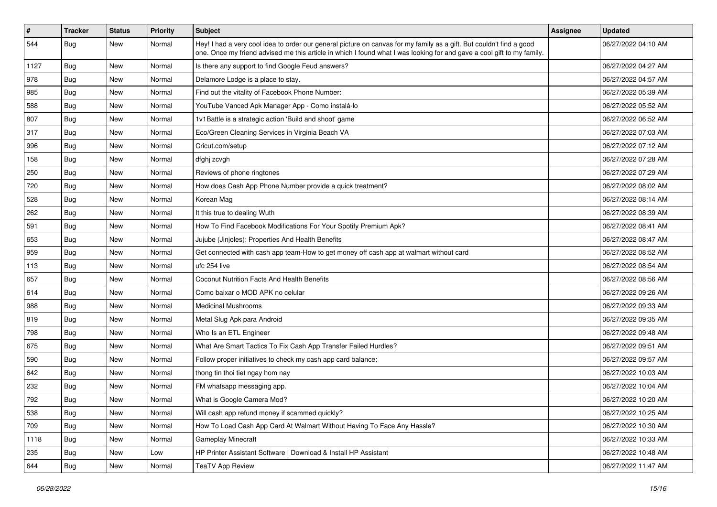| #    | <b>Tracker</b> | <b>Status</b> | <b>Priority</b> | <b>Subject</b>                                                                                                                                                                                                                                 | <b>Assignee</b> | <b>Updated</b>      |
|------|----------------|---------------|-----------------|------------------------------------------------------------------------------------------------------------------------------------------------------------------------------------------------------------------------------------------------|-----------------|---------------------|
| 544  | <b>Bug</b>     | New           | Normal          | Hey! I had a very cool idea to order our general picture on canvas for my family as a gift. But couldn't find a good<br>one. Once my friend advised me this article in which I found what I was looking for and gave a cool gift to my family. |                 | 06/27/2022 04:10 AM |
| 1127 | Bug            | <b>New</b>    | Normal          | Is there any support to find Google Feud answers?                                                                                                                                                                                              |                 | 06/27/2022 04:27 AM |
| 978  | Bug            | New           | Normal          | Delamore Lodge is a place to stay.                                                                                                                                                                                                             |                 | 06/27/2022 04:57 AM |
| 985  | Bug            | New           | Normal          | Find out the vitality of Facebook Phone Number:                                                                                                                                                                                                |                 | 06/27/2022 05:39 AM |
| 588  | Bug            | New           | Normal          | YouTube Vanced Apk Manager App - Como instalá-lo                                                                                                                                                                                               |                 | 06/27/2022 05:52 AM |
| 807  | Bug            | New           | Normal          | 1v1Battle is a strategic action 'Build and shoot' game                                                                                                                                                                                         |                 | 06/27/2022 06:52 AM |
| 317  | Bug            | New           | Normal          | Eco/Green Cleaning Services in Virginia Beach VA                                                                                                                                                                                               |                 | 06/27/2022 07:03 AM |
| 996  | <b>Bug</b>     | New           | Normal          | Cricut.com/setup                                                                                                                                                                                                                               |                 | 06/27/2022 07:12 AM |
| 158  | <b>Bug</b>     | New           | Normal          | dfghj zcvgh                                                                                                                                                                                                                                    |                 | 06/27/2022 07:28 AM |
| 250  | Bug            | New           | Normal          | Reviews of phone ringtones                                                                                                                                                                                                                     |                 | 06/27/2022 07:29 AM |
| 720  | <b>Bug</b>     | New           | Normal          | How does Cash App Phone Number provide a quick treatment?                                                                                                                                                                                      |                 | 06/27/2022 08:02 AM |
| 528  | Bug            | <b>New</b>    | Normal          | Korean Mag                                                                                                                                                                                                                                     |                 | 06/27/2022 08:14 AM |
| 262  | <b>Bug</b>     | New           | Normal          | It this true to dealing Wuth                                                                                                                                                                                                                   |                 | 06/27/2022 08:39 AM |
| 591  | Bug            | New           | Normal          | How To Find Facebook Modifications For Your Spotify Premium Apk?                                                                                                                                                                               |                 | 06/27/2022 08:41 AM |
| 653  | Bug            | New           | Normal          | Jujube (Jinjoles): Properties And Health Benefits                                                                                                                                                                                              |                 | 06/27/2022 08:47 AM |
| 959  | Bug            | New           | Normal          | Get connected with cash app team-How to get money off cash app at walmart without card                                                                                                                                                         |                 | 06/27/2022 08:52 AM |
| 113  | Bug            | New           | Normal          | ufc 254 live                                                                                                                                                                                                                                   |                 | 06/27/2022 08:54 AM |
| 657  | <b>Bug</b>     | New           | Normal          | <b>Coconut Nutrition Facts And Health Benefits</b>                                                                                                                                                                                             |                 | 06/27/2022 08:56 AM |
| 614  | Bug            | New           | Normal          | Como baixar o MOD APK no celular                                                                                                                                                                                                               |                 | 06/27/2022 09:26 AM |
| 988  | Bug            | New           | Normal          | <b>Medicinal Mushrooms</b>                                                                                                                                                                                                                     |                 | 06/27/2022 09:33 AM |
| 819  | <b>Bug</b>     | New           | Normal          | Metal Slug Apk para Android                                                                                                                                                                                                                    |                 | 06/27/2022 09:35 AM |
| 798  | Bug            | New           | Normal          | Who Is an ETL Engineer                                                                                                                                                                                                                         |                 | 06/27/2022 09:48 AM |
| 675  | Bug            | New           | Normal          | What Are Smart Tactics To Fix Cash App Transfer Failed Hurdles?                                                                                                                                                                                |                 | 06/27/2022 09:51 AM |
| 590  | <b>Bug</b>     | New           | Normal          | Follow proper initiatives to check my cash app card balance:                                                                                                                                                                                   |                 | 06/27/2022 09:57 AM |
| 642  | Bug            | New           | Normal          | thong tin thoi tiet ngay hom nay                                                                                                                                                                                                               |                 | 06/27/2022 10:03 AM |
| 232  | Bug            | New           | Normal          | FM whatsapp messaging app.                                                                                                                                                                                                                     |                 | 06/27/2022 10:04 AM |
| 792  | <b>Bug</b>     | <b>New</b>    | Normal          | What is Google Camera Mod?                                                                                                                                                                                                                     |                 | 06/27/2022 10:20 AM |
| 538  | Bug            | <b>New</b>    | Normal          | Will cash app refund money if scammed quickly?                                                                                                                                                                                                 |                 | 06/27/2022 10:25 AM |
| 709  | Bug            | New           | Normal          | How To Load Cash App Card At Walmart Without Having To Face Any Hassle?                                                                                                                                                                        |                 | 06/27/2022 10:30 AM |
| 1118 | Bug            | New           | Normal          | <b>Gameplay Minecraft</b>                                                                                                                                                                                                                      |                 | 06/27/2022 10:33 AM |
| 235  | Bug            | New           | Low             | HP Printer Assistant Software   Download & Install HP Assistant                                                                                                                                                                                |                 | 06/27/2022 10:48 AM |
| 644  | <b>Bug</b>     | New           | Normal          | <b>TeaTV App Review</b>                                                                                                                                                                                                                        |                 | 06/27/2022 11:47 AM |